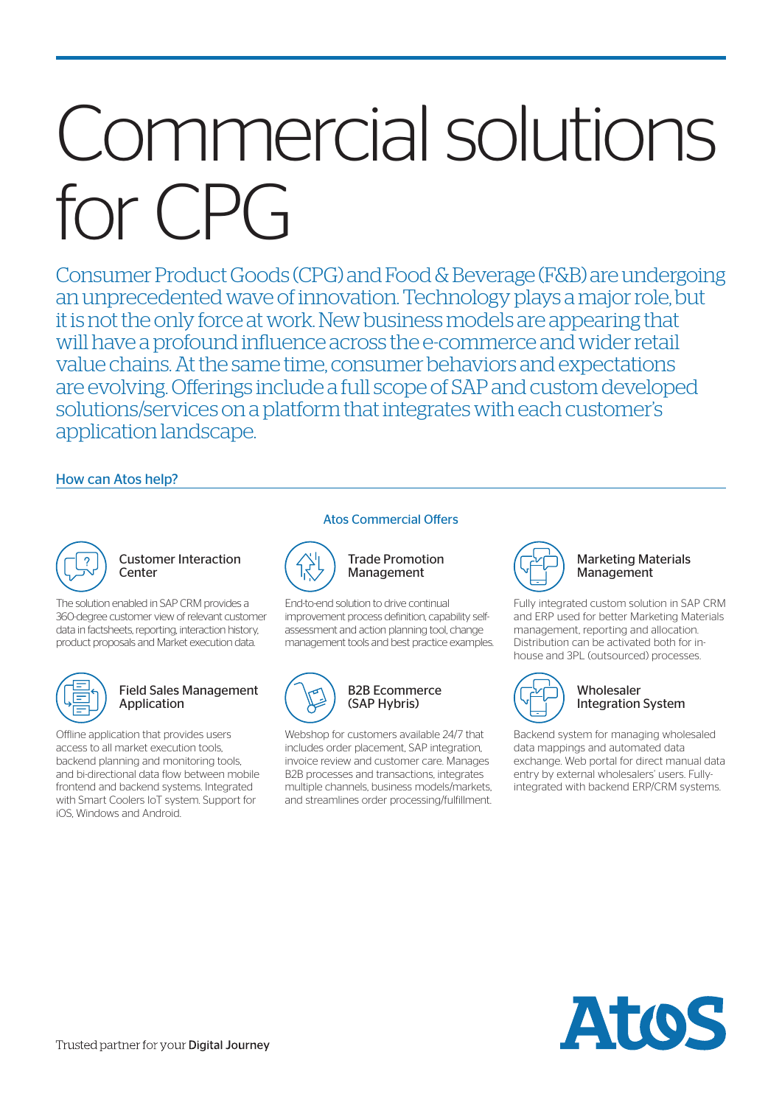# Commercial solutions for CPG

Consumer Product Goods (CPG) and Food & Beverage (F&B) are undergoing an unprecedented wave of innovation. Technology plays a major role, but it is not the only force at work. New business models are appearing that will have a profound influence across the e-commerce and wider retail value chains. At the same time, consumer behaviors and expectations are evolving. Offerings include a full scope of SAP and custom developed solutions/services on a platform that integrates with each customer's application landscape.

# How can Atos help?

#### Customer Interaction **Center**

The solution enabled in SAP CRM provides a 360-degree customer view of relevant customer data in factsheets, reporting, interaction history, product proposals and Market execution data.



#### Field Sales Management Application

Offline application that provides users access to all market execution tools, backend planning and monitoring tools, and bi-directional data flow between mobile frontend and backend systems. Integrated with Smart Coolers IoT system. Support for iOS, Windows and Android.

#### Atos Commercial Offers



Trade Promotion Management

End-to-end solution to drive continual improvement process definition, capability selfassessment and action planning tool, change management tools and best practice examples.



Webshop for customers available 24/7 that includes order placement, SAP integration, invoice review and customer care. Manages B2B processes and transactions, integrates multiple channels, business models/markets, and streamlines order processing/fulfillment.



#### Marketing Materials Management

Fully integrated custom solution in SAP CRM and ERP used for better Marketing Materials management, reporting and allocation. Distribution can be activated both for inhouse and 3PL (outsourced) processes.



#### Wholesaler Integration System

Backend system for managing wholesaled data mappings and automated data exchange. Web portal for direct manual data entry by external wholesalers' users. Fullyintegrated with backend ERP/CRM systems.